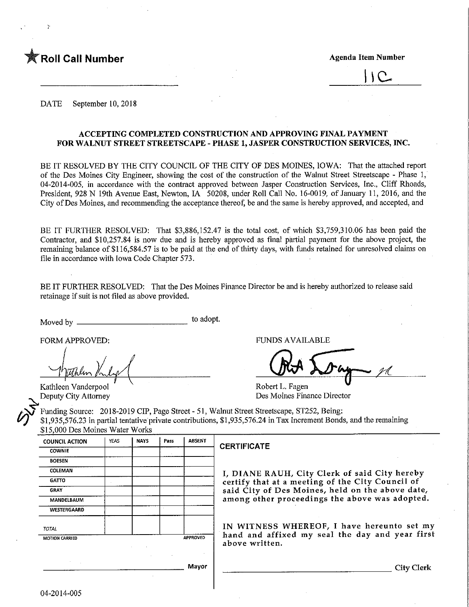

lie-

DATE September 10, 2018

### ACCEPTING COMPLETED CONSTRUCTION AND APPROVING FINAL PAYMENT FOR WALNUT STREET STREETSCAPE - PHASE 1, JASPER CONSTRUCTION SERVICES, INC.

BE IT RESOLVED BY THE CITY COUNCIL OF THE CITY OF DES MOINES, IOWA: That the attached report of the Des Moines City Engineer, showing the cost of the construction of the Wahiut Street Streetscape - Phase 1, 04-2014-005, in accordance with the contract approved between Jasper Construction Services, Inc., Cliff Rhoads, President, 928 N 19th Avenue East, Newton, IA 50208, under Roll Call No. 16-0019, of January 11, 2016, and the City of Des Moines, and recommending the acceptance thereof, be and the same is hereby approved, and accepted, and

BE IT FURTHER RESOLVED: That \$3,886,152.47 is the total cost, of which \$3,759,310.06 has been paid the Contractor, and \$10,257.84 is now due and is hereby approved as final partial payment for the above project, the remaining balance of \$116,584.57 is to be paid at the end of thirty days, with funds retained for unresolved claims on file in accordance with Iowa Code Chapter 573.

BE IT FURTHER RESOLVED: That the Des Moines Finance Director be and is hereby authorized to release said retainage if suit is not filed as above provided.

Moved by to adopt.

Kathleen Vanderpool ' Robert L. Fagen<br>
Deputy City Attorney Contract Contract Contract Contract Contract Contract Contract Contract Contract Contract Contract Contract Contract Contract Contract Contract Contract Contract

FORM APPROVED: THE RESERVED OF THE RESERVED FUNDS AVAILABLE

Des Moines Finance Director

Funding Source: 2018-2019 CIP, Page Street - 51, Walnut Street Streetscape, ST252, Being: \$1,935,576.23 in partial tentative private contributions, \$1,935,576.24 in Tax Increment Bonds, and the remaining \$15,000 Des Moines Water Works

| <b>COUNCIL ACTION</b> | <b>YEAS</b> | <b>NAYS</b> | Pass | <b>ABSENT</b>   | ť |
|-----------------------|-------------|-------------|------|-----------------|---|
| <b>COWNIE</b>         |             |             |      |                 |   |
| <b>BOESEN</b>         |             |             |      |                 |   |
| <b>COLEMAN</b>        |             |             |      |                 |   |
| <b>GATTO</b>          |             |             |      |                 |   |
| <b>GRAY</b>           |             |             |      |                 |   |
| MANDELBAUM            |             |             |      |                 |   |
| WESTERGAARD           |             |             | í,   |                 |   |
| <b>TOTAL</b>          |             |             |      |                 |   |
| <b>MOTION CARRIED</b> |             |             |      | <b>APPROVED</b> |   |
|                       |             |             |      |                 |   |
| and the con-          |             |             |      |                 |   |
| i,                    |             |             |      | Mayor           |   |
|                       |             | ٠           |      |                 |   |

## **CERTIFICATE**

I, DIANE RAUH, City Clerk of said City hereby certify that at a meeting of the City Council of said City of Des Moines, held on the above date, among other proceedings the above was adopted.

IN WITNESS WHEREOF, I have hereunto set my hand and affixed my seal the day and year first above written.

City Clerk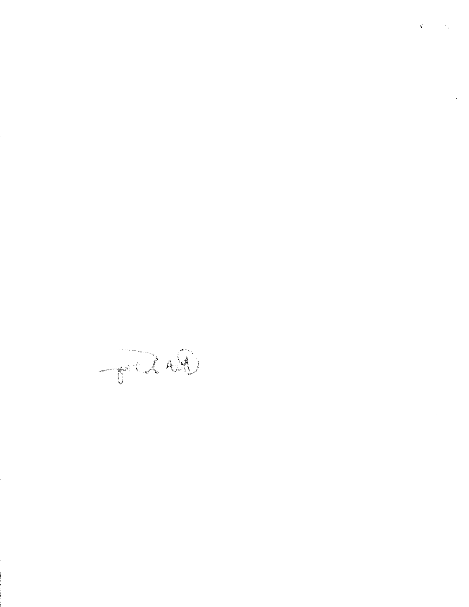$\mathbf{q}^{\prime}$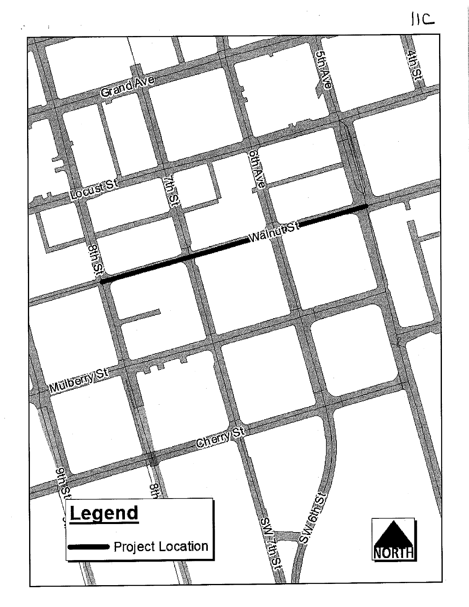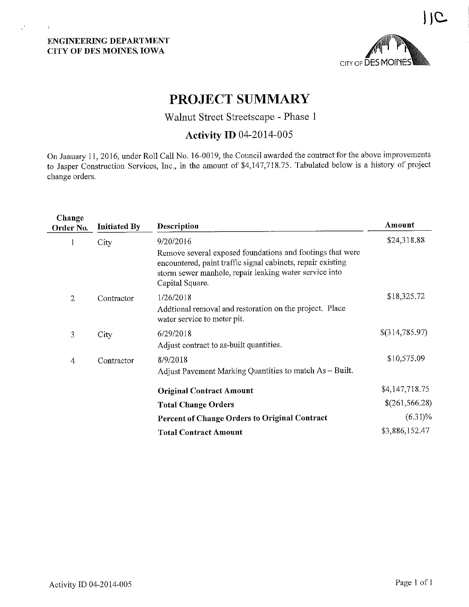# ENGINEERING DEPARTMENT CITY OF DES MOINES, IOWA

 $\mathcal{C}$ 

 $\mathbf{1}$ 



# PROJECT SUMMARY

Walnut Street Streetscape - Phase 1

# Activity ID 04-2014-005

On January 11, 2016, under Roll Call No. 16-0019, the Council awarded the contract for the above improvements to Jasper Construction Services, Inc., in the amount of \$4,147,718.75. Tabulated below is a history of project change orders.

| Change<br>Order No. | <b>Initiated By</b> | <b>Description</b>                                                                                                                                                                                    | Amount         |
|---------------------|---------------------|-------------------------------------------------------------------------------------------------------------------------------------------------------------------------------------------------------|----------------|
| $\perp$             | City                | 9/20/2016                                                                                                                                                                                             | \$24,318.88    |
|                     |                     | Remove several exposed foundations and footings that were<br>encountered, paint traffic signal cabinets, repair existing<br>storm sewer manhole, repair leaking water service into<br>Capital Square. |                |
| 2                   | Contractor          | 1/26/2018                                                                                                                                                                                             | \$18,325.72    |
|                     |                     | Addtional removal and restoration on the project. Place<br>water service to meter pit.                                                                                                                |                |
| 3                   | City                | 6/29/2018                                                                                                                                                                                             | \$(314,785.97) |
|                     |                     | Adjust contract to as-built quantities.                                                                                                                                                               |                |
| 4                   | Contractor          | 8/9/2018                                                                                                                                                                                              | \$10,575.09    |
|                     |                     | Adjust Pavement Marking Quantities to match As – Built.                                                                                                                                               |                |
|                     |                     | <b>Original Contract Amount</b>                                                                                                                                                                       | \$4,147,718.75 |
|                     |                     | <b>Total Change Orders</b>                                                                                                                                                                            | \$(261,566.28) |
|                     |                     | Percent of Change Orders to Original Contract                                                                                                                                                         | $(6.31)\%$     |
|                     |                     | <b>Total Contract Amount</b>                                                                                                                                                                          | \$3,886,152.47 |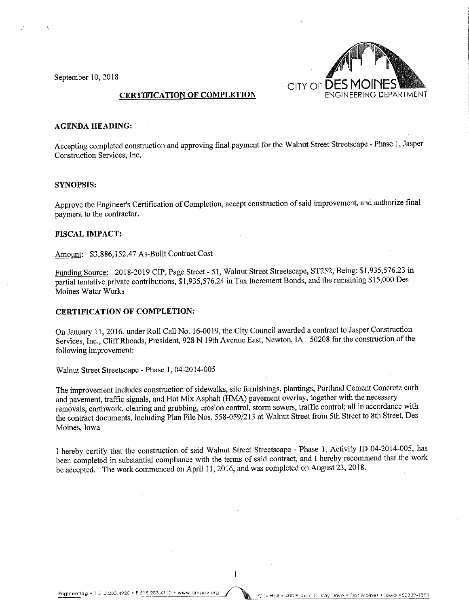September 10,2018

 $\Lambda$ 



#### **CERTIFICATION OF COMPLETION**

#### **AGENDA HEADING:**

Accepting completed construction and approving final payment for the Walnut Street Streetscape - Phase 1, Jasper Construction Services, Inc.

#### SYNOPSIS:

Approve the Engineer's Certification of Completion, accept construction of said improvement, and authorize final payment to the contractor.

#### FISCAL IMPACT:

# Amount: \$3,886,152.47 As-Built Contract Cost

Funding Source: 2018-2019 CIP, Page Street - 51, Walnut Street Streetscape, ST252, Being: \$1,935,576.23 in partial tentative private contributions, \$1,935,576.24 in Tax Increment Bonds, and the remaining \$15,000 Des Moines Water Works

#### CERTIFICATION OF COMPLETION:

On January 11, 2016, under Roll Call No. 16-0019, the City Council awarded a contract to Jasper Construction Services, Inc., Cliff Rhoads, President, 928 N 19th Avenue East, Newton, IA 50208 for the construction of the following improvement:

Walnut Street Streetscape - Phase 1, 04-2014-005

The improvement includes construction of sidewalks, site furnishings, plantings, Portland Cement Concrete curb and pavement, traffic signals, and Hot Mix Asphalt (HMA) pavement overlay, together with the necessary removals, earthwork, clearing and grubbing, erosion control, storm sewers, traffic control; all in accordance with the contract documents, including Plan File Nos. 558-059/213 at Walnut Street from 5th Street to 8th Street, Des Moines, Iowa

I hereby certify that the construction of said Walnut Street Streetscape - Phase 1, Activity ID 04-2014-005, has been completed in substantial compliance with the terms of said contract, and I hereby recommend that the work be accepted. The work commenced on April 11, 2016, and was completed on August 23, 2018.

Cify Hall • 400 Robert D, Ray Drive • Des Moines • Iowa • 50309-1891

 $\mathbf{1}$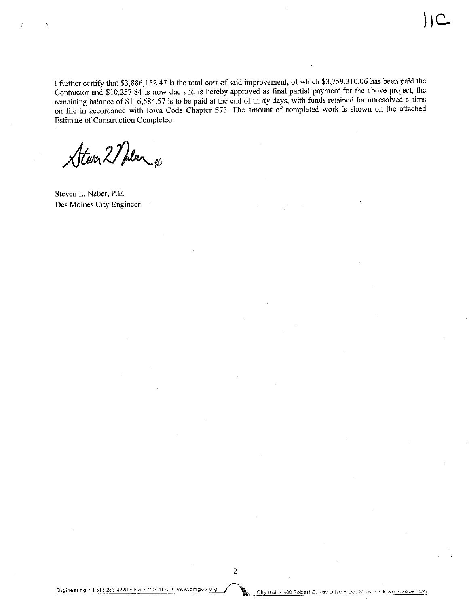I further certify that \$3,886,152.47 is the total cost of said improvement, of which \$3,759,310.06 has been paid the Contractor and \$10,257.84 is now due and is hereby approved as final partial payment for the above project, the remaining balance of \$116,584.57 is to be paid at the end of thirty days, with funds retained for unresolved claims on file in accordance with Iowa Code Chapter 573. The amount of completed work is shown on the attached Estimate of Construction Completed.

Steven 2 Pulver @

Steven L. Naber, P.E. Des Moines City Engineer

Engineering • T 515.283.4920 • F 515.283.4112 • www.dmgov.org

City Hall . 400 Robert D. Ray Drive . Des Moines . Iowa . 50309-1891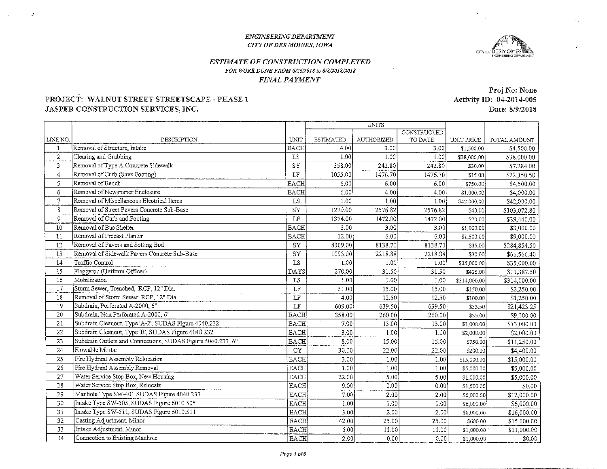#### ENGINEERING DEPARTMENT CITY OF DES MOINES, IOWA



#### **ESTIMATE OF CONSTRUCTION COMPLETED** FOR WORK DONE FROM 6/26/2018 to 8/8/2018/2018 **FINAL PAYMENT**

# PROJECT: WALNUT STREET STREETSCAPE - PHASE 1 JASPER CONSTRUCTION SERVICES, INC.

**UNITS** CONSTRUCTED LINE NO DESCRIPTION UNIT **ESTIMATED** AUTHORIZED TO DATE UNIT PRICE TOTAL AMOUNT Removal of Structure, Intake **EACH**  $\mathbf{1}$ 4.00 3.00 3.00 \$1,500.00 \$4,500.00  $\mathbf{2}$ Clearing and Grubbing LS. 1.00 1.00  $1.00$ \$38,000.00 \$38,000.00  $\overline{3}$ Removal of Type A Concrete Sidewalk SY 358.00 242.80 242.80 \$30,00 \$7,284.00 Removal of Curb (Save Footing) 1476.70  $\overline{4}$  $\operatorname{LF}$ 1055.00 1476.70 \$15.00 \$22,150.50 Removal of Bench  $5^{\circ}$ **EACH** 6.00 6.00 6.00 \$750.00 \$4,500.00 6 Removal of Newspaper Enclosure **EACH** 6.00 4.00 4.00 \$1,000.00 \$4,000.00 Removal of Miscellaneous Electrical Items  $\tau$ LS. 1.00 1.00 1.00 \$42,000.00 \$42,000.00  $\mathbf{g}$ Removal of Street Pavers Concrete Sub-Base **SY** 1279.00 2576.82 2576.82 \$103,072.80 \$40.00 Removal of Curb and Footing 9  $LF$ 1374.00 1472.00 1472.00 \$20.00 \$29,440.00 10 Removal of Bus Shelter **EACH** 3.00  $3.00$ 3.00 \$1,000.00 \$3,000.00 Removal of Precast Planter 11 **EACH** 12.00  $6.00$  $6.00$ \$1,500.00 \$9,000.00  $12$ Removal of Pavers and Setting Bed  $SY$ 8309.00 8138.70 8138.70 \$284,854.50 \$35,00 Removal of Sidewalk Pavers Concrete Sub-Base 13 SY 1093.00 2218.88 2218.88 \$66,566.40 \$30.00 14 Traffic Control LS 1.00 1.00 1.00 \$35,000.00 \$35,000.00  $\overline{15}$ Flaggers / (Uniform Officer) **DAYS** 270.00 31.50 31.50 \$425.00 \$13,387.50 Mobilization  $1.00$  $16$ LS. 1.00 1.00 \$314,000.00 \$314,000.00 Storm Sewer, Trenched, RCP, 12" Dia.  $17$  $\operatorname{LF}$ 51.00 15.00 15.00 \$150.00 \$2,250.00 Removal of Storm Sewer, RCP, 12" Dia.  $18$  $\mathbf{L}\mathbf{F}$ 4.00 12.50 12.50  $$1,250.00$ \$100.00 Subdrain, Perforated A-2000, 6" 19  $\mathbf{LF}$ 609.00 639.50 639.50 \$33.50 \$21,423.25  $\overline{20}$ Subdrain, Non Perforated A-2000, 6" **EACH** 358.00 260.00  $260.00$ \$35.00 \$9,100.00 Subdrain Cleanout, Type 'A-2', SUDAS Figure 4040.232 21 **EACH**  $13.00$ 7.00 13.00 \$1,000.00 \$13,000.00 Subdrain Cleanout, Type 'B', SUDAS Figure 4040.232 22 **EACH** 3.00 1.00 1.00 \$2,000.00 \$2,000.00  $\overline{23}$ Subdrain Outlets and Connections, SUDAS Figure 4040.233, 6" **EACH** 8.00 15.00 15.00 \$11,250.00 \$750.00 24 Flowable Mortar  $\overline{\text{CY}}$ 30.00  $22.00$ 22.00 \$200.00 \$4,400.00 25 Fire Hydrant Assembly Relocation **EACH** 1.00 3.00 1.00 \$15,000.00 \$15,000.00 Fire Hydrant Assembly Removal 26 **EACH** 1.00 1.00 1.00 \$5,000.00 \$5,000.00 Water Service Stop Box, New Housing 27 **EACH** 22.00 5.00 5.00 \$1,000.00 \$5,000.00 Water Service Stop Box, Relocate 28 **EACH** 9.00  $0.00$  $0.00$ \$1,500.00 \$0.00 Manhole Type SW-401 SUDAS Figure 4040.233 29 **EACH** 7.00  $2.00$  $2.00$ \$6,000.00 \$12,000.00 Intake Type SW-505, SUDAS Figure 6010.505 **EACH** 30 1.00  $1.00$ 1.00 \$6,000.00 \$6,000.00 31 Intake Type SW-511, SUDAS Figure 6010.511 **EACH**  $3.00$  $2.00$ 2.00 \$16,000.00 \$8,000.00 32 Casting Adjustment, Minor **EACH**  $25.00$ 42.00 25.00 \$15,000.00 \$600.00 33 Intake Adjustment, Minor **EACH** 6.00 11.00 11.00 \$11,000.00 \$1,000.00  $34$ Connection to Existing Manhole  $0.00$ **EACH** 2.00  $0.00$ \$1,000.00 \$0.00

Proj No: None Activity ID: 04-2014-005 Date: 8/9/2018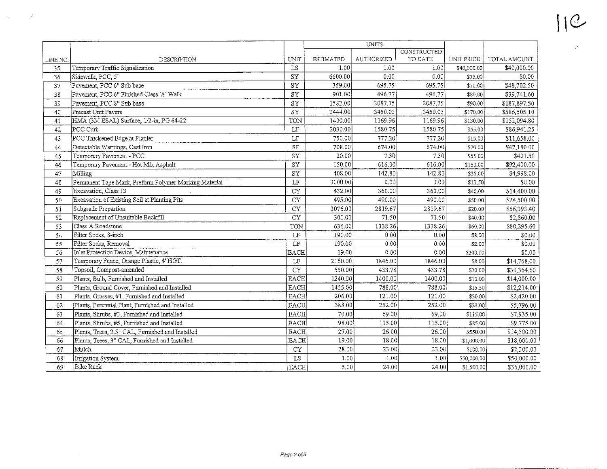|                 |                                                              |                        |                  | <b>UNITS</b> |             |             |              |
|-----------------|--------------------------------------------------------------|------------------------|------------------|--------------|-------------|-------------|--------------|
|                 |                                                              |                        |                  |              | CONSTRUCTED |             |              |
| LINE NO.        | DESCRIPTION                                                  | UNIT                   | <b>ESTIMATED</b> | AUTHORIZED   | TO DATE     | UNIT PRICE  | TOTAL AMOUNT |
| 35              | Temporary Traffic Signalization                              | LS                     | 1.00             | 1.00         | 1.00        | \$40,000.00 | \$40,000.00  |
| 36              | Sidewalk, PCC, 5"                                            | $\overline{\text{SY}}$ | 6600.00          | 0.00         | 0.00        | \$75,00     | \$0.00       |
| 37              | Pavement, PCC 6" Sub base                                    | SY                     | 359.00           | 695.75       | 695.75      | \$70.00     | \$48,702.50  |
| 38              | Pavement, PCC 6" Finished Class 'A' Walk                     | ${\rm SY}$             | 901.00           | 496.77       | 496.77      | \$80.00     | \$39,741.60  |
| 39              | Pavement, PCC 8" Sub base                                    | ${\rm SY}$             | 1582.00          | 2087.75      | 2087.75     | \$90.00     | \$187,897.50 |
| 40              | Precast Unit Pavers                                          | $\overline{SY}$        | 3444.00          | 3450.03      | 3450.03     | \$170.00    | \$586,505.10 |
| 41              | HMA (3M ESAL) Surface, 1/2-in, PG 64-22                      | <b>TON</b>             | 1400.00          | 1169.96      | 1169.96     | \$130.00    | \$152,094.80 |
| 42              | PCC Curb                                                     | LF                     | 2030.00          | 1580.75      | 1580.75     | \$55,00     | \$86,941.25  |
| 43              | PCC Thickened Edge at Planter                                | LF                     | 750.00           | 777.20       | 777.20      | \$15,00     | \$11,658.00  |
| 44              | Detectable Warnings, Cast Iron                               | $S\overline{F}$        | 708.00           | 674.00       | 674.00      | \$70.00     | \$47,180.00  |
| 45              | Temporary Pavement - PCC                                     | ${\rm SY}$             | 20.00            | 7.30         | 7.30        | \$55.00     | \$401.50     |
| 46              | Temporary Pavement - Hot Mix Asphalt                         | SY                     | 150.00           | 616.00       | 616.00      | \$150.00    | \$92,400.00  |
| 47              | Milling                                                      | SY                     | 408.00           | 142.80       | 142.80      | \$35.00     | \$4,998.00   |
| 48              | Permanent Tape Mark, Preform Polymer Marking Material        | $\mathbf{L}\mathbf{F}$ | 3000.00          | 0.00         | 0.00        | \$11.50     | \$0.00       |
| 49              | Excavation, Class 13                                         | CY                     | 432.00           | 360.00       | 360.00      | \$40.00     | \$14,400.00  |
| 50              | Excavation of Existing Soil at Planting Pits                 | CY                     | 495.00           | 490.00       | 490.00      | \$50.00     | \$24,500.00  |
| 51              | Subgrade Prepartion                                          | <b>CY</b>              | 3076.00          | 2819.67      | 2819.67     | \$20.00     | \$56,393.40  |
| 52              | Replacement of Unsuitable Backfill                           | CY                     | 300.00           | 71.50        | 71.50       | \$40.00     | \$2,860.00   |
| 53              | Class A Roadstone                                            | TON                    | 636.00           | 1338.26      | 1338.26     | \$60.00     | \$80,295.60  |
| 54              | Filter Socks, 8-inch                                         | LF                     | 190.00           | 0.00         | 0.00        | \$8.00      | \$0.00       |
| 55              | Filter Socks, Removal                                        | $\mathbf{L}\mathbf{F}$ | 190.00           | 0.00         | 0.00        | \$2.00      | \$0.00       |
| $\overline{56}$ | Inlet Protection Device, Maintenance                         | EACH                   | 19.00            | 0.00         | 0.00        | \$200.00    | \$0.00       |
| 57              | Temporary Fence, Orange Plastic, 4' HGT.                     | $\mathbf{L}\mathbf{F}$ | 2160.00          | 1846.00      | 1846.00     | \$8.00      | \$14,768.00  |
| 58              | Topsoil, Compost-amended                                     | CY                     | 550.00           | 433.78       | 433.78      | \$70.00     | \$30,364.60  |
| 59              | Plants, Bulb, Furnished and Installed                        | EACH                   | 1240.00          | 1400.00      | 1400.00     | \$10,00     | \$14,000.00  |
| 60              | Plants, Ground Cover, Furnished and Installed                | <b>EACH</b>            | 1455.00          | 788.00       | 788.00      | \$15.50     | \$12,214.00  |
| 61              | Plants, Grasses, #1, Furnished and Installed                 | <b>EACH</b>            | 206.00           | 121.00       | 121.00      | \$20.00     | \$2,420.00   |
| 62              | Plants, Perennial Plant, Furnished and Installed             | <b>EACH</b>            | 388.00           | 252.00       | 252.00      | \$23,00     | \$5,796.00   |
| 63              | Plants, Shrubs, #3, Furnished and Installed                  | <b>EACH</b>            | 70.00            | 69.00        | 69.00       | \$115.00    | \$7,935.00   |
| 64              | Plants, Shrubs, #5, Furnished and Installed                  | <b>EACH</b>            | 98.00            | 115.00       | 115.00      | \$85.00     | \$9,775.00   |
| 65              | Plants, Trees, 2.5 <sup>"</sup> CAL, Furnished and Installed | <b>EACH</b>            | 27.00            | 26.00        | 26.00       | \$550.00    | \$14,300.00  |
| 66              | Plants, Trees, 3" CAL, Furnished and Installed               | <b>EACH</b>            | 19.00            | 18.00        | 18.00       | \$1,000.00  | \$18,000.00  |
| 67              | Mulch                                                        | CY                     | 28.00            | 23.00        | 23.00       | \$100.00    | \$2,300.00   |
| 68              | Irrigation System                                            | LS                     | 1.00             | 1.00         | 1.00        | \$50,000.00 | \$50,000.00  |
| 69              | <b>Bike Rack</b>                                             | <b>EACH</b>            | 5.00             | 24.00        | 24.00       | \$1,500.00  | \$36,000.00  |

 $\label{eq:3.1} \begin{array}{ccccc} \alpha_{11} & \alpha_{21} & \alpha_{31} & \alpha_{42} \end{array}$ 

 $\Delta \sim 10^{11}$  m

 $\frac{1}{2}$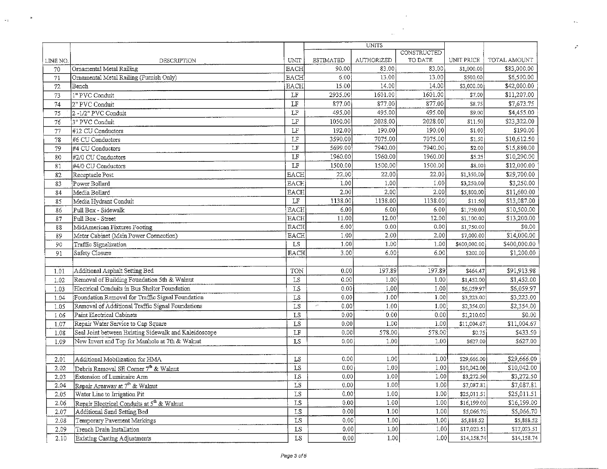| CONSTRUCTED<br>AUTHORIZED<br>TO DATE<br>UNIT PRICE<br>TOTAL AMOUNT<br><b>UNIT</b><br><b>ESTIMATED</b><br>LINE NO.<br>DESCRIPTION<br><b>EACH</b><br>90.00<br>Ornamental Metal Railing<br>83.00<br>\$83,000.00<br>83.00<br>\$1,000.00<br>70<br>\$6,500.00<br>EACH<br>13.00<br>13.00<br>Ornamental Metal Railing (Furnish Only)<br>6.00<br>\$500.00<br>$71\,$<br>14.00<br>15.00<br>14.00<br>\$42,000.00<br><b>EACH</b><br>\$3,000.00<br>72<br>Bench<br>\$11,207.00<br>LF<br>2935.00<br>1601.00<br>1601.00<br>73<br>1" PVC Conduit<br>\$7.00<br>877.00<br>$\mathbf{L}\mathbf{F}$<br>877.00<br>\$7,673.75<br>877.00<br>\$8.75<br>74<br>2" PVC Conduit<br>LF<br>495.00<br>495.00<br>495.00<br>\$4,455.00<br>\$9.00<br>75<br>2-1/2" PVC Conduit<br>2028.00<br>\$23,322.00<br>$\mathbf{LF}$<br>1050.00<br>2028.00<br>76<br>3" PVC Conduit<br>\$11.50<br>190.00<br>\$190.00<br>$\operatorname{LF}$<br>192.00<br>190.00<br>\$1.00<br>77<br>#12 CU Conductors<br>$\mathbf{L}\mathbf{F}$<br>3590.00<br>7075.00<br>7075.00<br>\$10,612.50<br>\$1.50<br>78<br>#6 CU Conductors<br>7940.00<br>5699.00<br>7940.00<br>\$15,880.00<br>LF<br>\$2.00<br>#4 CU Conductors<br>79<br>LF<br>1960.00<br>1960.00<br>1960.00<br>\$10,290.00<br>\$5.25<br>#2/0 CU Conductors<br>80<br>LF<br>1500.00<br>\$12,000.00<br>1500.00<br>1500.00<br>\$8.00<br>81<br>#4/0 CU Conductors<br>22.00<br>\$29,700.00<br>EACH<br>22.00<br>22.00<br>\$1,350.00<br>82<br>Receptacle Post<br>\$3,250.00<br><b>EACH</b><br>1.00<br>1.00<br>1.00<br>\$3,250.00<br>83<br>Power Bollard<br>2.00<br>2.00<br>2.00<br>\$11,600.00<br><b>EACH</b><br>84<br>\$5,800.00<br>Media Bollard<br>1138.00<br>\$13,087.00<br>$\mathbf{L}\mathbf{F}$<br>1138.00<br>1138.00<br>\$11.50<br>85<br>Media Hydrant Conduit<br>EACH<br>\$10,500.00<br>6.00<br>6.00<br>6.00<br>\$1,750.00<br>86<br>Pull Box - Sidewalk<br>11.00<br>\$13,200.00<br>12.00<br>12.00<br>87<br><b>EACH</b><br>Pull Box - Street<br>\$1,100.00<br>\$0.00<br><b>EACH</b><br>6.00<br>0.00<br>0.00<br>\$1,750.00<br>88<br>MidAmerican Fixtures Footing<br>\$14,000.00<br><b>EACH</b><br>1.00<br>2.00<br>2.00<br>\$7,000.00<br>89<br>Meter Cabinet (Main Power Connection)<br>LS<br>1.00<br>1.00<br>\$400,000.00<br>Traffic Signalization<br>1.00<br>\$400,000.00<br>90<br>3.00<br>Safety Closure<br><b>EACH</b><br>6.00<br>6.00<br>91<br>\$1,200.00<br>\$200.00<br>197.89<br>197.89<br>\$91,913.98<br>Additional Asphalt Setting Bed<br>TON<br>0.00<br>\$464.47<br>1.01<br>Removal of Building Foundation 5th & Walnut<br>$\mathbb{L}\mathbf{S}$<br>0.00<br>1.00<br>1.00<br>\$1,452.00<br>1.02<br>\$1,452.00<br>\$6,059.97<br>Electrical Conduits in Bus Shelter Foundation<br>LS<br>1.00<br>1.00<br>0.00<br>1.03<br>\$6,059.97<br>Foundation Removal for Traffic Signal Foundation<br>\$3,223.00<br>LS<br>0.00<br>1.00<br>1.00<br>1.04<br>\$3,223.00<br>Removal of Additional Traffic Signal Foundations<br>LS<br>0.00<br>1.00<br>1.00<br>\$2,354.00<br>$\overline{\phantom{a}}$<br>1.05<br>\$2,354.00<br>\$0.00<br>Paint Electrical Cabinets<br>LS<br>0.00<br>0.00<br>0.00<br>1.06<br>\$1,210.00<br>Repair Water Service to Cap Square<br>1.00<br>\$11,004.67<br>${\rm LS}$<br>0.00<br>1.00<br>\$11,004.67<br>1.07<br>Seal Joint between Existing Sidewalk and Kaleidoscope<br>$\mathbf{L}\mathbf{F}$<br>0.00<br>578.00<br>578.00<br>\$433.50<br>\$0,75<br>1.08<br>\$627.00<br>New Invert and Top for Manhole at 7th & Walnut<br>LS<br>0.00<br>1.00<br>1.00<br>1.09<br>\$627.00<br>LS<br>1.00<br>\$29,666.00<br>\$29,666.00<br>Additional Mobilization for HMA<br>0.00<br>1.00<br>2.01<br>$1.00\,$<br>LS<br>0.00<br>1.00<br>\$10,042.00<br>Debris Removal SE Corner 7 <sup>th</sup> & Walnut<br>\$10,042.00<br>2.02<br>1.00<br>1.00<br>\$3,272.50<br>Extension of Luminaire Arm<br>LS<br>0.00<br>\$3,272.50<br>2.03<br>1.00<br>0.00<br>1.00<br>LS<br>\$7,087.81<br>\$7,087.81<br>2.04<br>Repair Areaway at 7 <sup>th</sup> & Walnut<br>0.00<br>1.00<br>1.00<br>$\mathbb{L}\mathbf{S}$<br>\$25,011.51<br>Water Line to Irrigation Pit<br>\$25,011.51<br>2.05<br>${\rm LS}$<br>0.00<br>1.00<br>1.00<br>\$16,199.00<br>Repair Electrical Conduits at 5 <sup>th</sup> & Walnut<br>\$16,199.00<br>2.06<br>0.00<br>1.00<br>${\rm LS}$<br>1.00<br>\$5,066.70<br>2.07<br>Additional Sand Setting Bed<br>\$5,066.70<br>${\rm LS}$<br>0.00<br>1.00<br>1.00<br>\$5,888.52<br>\$5,888.52<br>Temporary Pavement Markings<br>2.08<br>${\rm LS}$<br>0.00<br>1.00<br>1.00<br>Trench Drain Installation<br>\$17,023.51<br>\$17,023.51<br>2.09<br>1.00<br>1.00<br>\$14,158.74<br>0.00 |      |                              |                        | <b>UNITS</b> |  |  |  |             |
|----------------------------------------------------------------------------------------------------------------------------------------------------------------------------------------------------------------------------------------------------------------------------------------------------------------------------------------------------------------------------------------------------------------------------------------------------------------------------------------------------------------------------------------------------------------------------------------------------------------------------------------------------------------------------------------------------------------------------------------------------------------------------------------------------------------------------------------------------------------------------------------------------------------------------------------------------------------------------------------------------------------------------------------------------------------------------------------------------------------------------------------------------------------------------------------------------------------------------------------------------------------------------------------------------------------------------------------------------------------------------------------------------------------------------------------------------------------------------------------------------------------------------------------------------------------------------------------------------------------------------------------------------------------------------------------------------------------------------------------------------------------------------------------------------------------------------------------------------------------------------------------------------------------------------------------------------------------------------------------------------------------------------------------------------------------------------------------------------------------------------------------------------------------------------------------------------------------------------------------------------------------------------------------------------------------------------------------------------------------------------------------------------------------------------------------------------------------------------------------------------------------------------------------------------------------------------------------------------------------------------------------------------------------------------------------------------------------------------------------------------------------------------------------------------------------------------------------------------------------------------------------------------------------------------------------------------------------------------------------------------------------------------------------------------------------------------------------------------------------------------------------------------------------------------------------------------------------------------------------------------------------------------------------------------------------------------------------------------------------------------------------------------------------------------------------------------------------------------------------------------------------------------------------------------------------------------------------------------------------------------------------------------------------------------------------------------------------------------------------------------------------------------------------------------------------------------------------------------------------------------------------------------------------------------------------------------------------------------------------------------------------------------------------------------------------------------------------------------------------------------------------------------------------------------------------------------------------------------------------------------------------------------------------------------------------------------------------------------------------------------------------------------------------------------------------------------------------------------------------------------------------------------------------------------------------------|------|------------------------------|------------------------|--------------|--|--|--|-------------|
|                                                                                                                                                                                                                                                                                                                                                                                                                                                                                                                                                                                                                                                                                                                                                                                                                                                                                                                                                                                                                                                                                                                                                                                                                                                                                                                                                                                                                                                                                                                                                                                                                                                                                                                                                                                                                                                                                                                                                                                                                                                                                                                                                                                                                                                                                                                                                                                                                                                                                                                                                                                                                                                                                                                                                                                                                                                                                                                                                                                                                                                                                                                                                                                                                                                                                                                                                                                                                                                                                                                                                                                                                                                                                                                                                                                                                                                                                                                                                                                                                                                                                                                                                                                                                                                                                                                                                                                                                                                                                                                                                                      |      |                              |                        |              |  |  |  |             |
|                                                                                                                                                                                                                                                                                                                                                                                                                                                                                                                                                                                                                                                                                                                                                                                                                                                                                                                                                                                                                                                                                                                                                                                                                                                                                                                                                                                                                                                                                                                                                                                                                                                                                                                                                                                                                                                                                                                                                                                                                                                                                                                                                                                                                                                                                                                                                                                                                                                                                                                                                                                                                                                                                                                                                                                                                                                                                                                                                                                                                                                                                                                                                                                                                                                                                                                                                                                                                                                                                                                                                                                                                                                                                                                                                                                                                                                                                                                                                                                                                                                                                                                                                                                                                                                                                                                                                                                                                                                                                                                                                                      |      |                              |                        |              |  |  |  |             |
|                                                                                                                                                                                                                                                                                                                                                                                                                                                                                                                                                                                                                                                                                                                                                                                                                                                                                                                                                                                                                                                                                                                                                                                                                                                                                                                                                                                                                                                                                                                                                                                                                                                                                                                                                                                                                                                                                                                                                                                                                                                                                                                                                                                                                                                                                                                                                                                                                                                                                                                                                                                                                                                                                                                                                                                                                                                                                                                                                                                                                                                                                                                                                                                                                                                                                                                                                                                                                                                                                                                                                                                                                                                                                                                                                                                                                                                                                                                                                                                                                                                                                                                                                                                                                                                                                                                                                                                                                                                                                                                                                                      |      |                              |                        |              |  |  |  |             |
|                                                                                                                                                                                                                                                                                                                                                                                                                                                                                                                                                                                                                                                                                                                                                                                                                                                                                                                                                                                                                                                                                                                                                                                                                                                                                                                                                                                                                                                                                                                                                                                                                                                                                                                                                                                                                                                                                                                                                                                                                                                                                                                                                                                                                                                                                                                                                                                                                                                                                                                                                                                                                                                                                                                                                                                                                                                                                                                                                                                                                                                                                                                                                                                                                                                                                                                                                                                                                                                                                                                                                                                                                                                                                                                                                                                                                                                                                                                                                                                                                                                                                                                                                                                                                                                                                                                                                                                                                                                                                                                                                                      |      |                              |                        |              |  |  |  |             |
|                                                                                                                                                                                                                                                                                                                                                                                                                                                                                                                                                                                                                                                                                                                                                                                                                                                                                                                                                                                                                                                                                                                                                                                                                                                                                                                                                                                                                                                                                                                                                                                                                                                                                                                                                                                                                                                                                                                                                                                                                                                                                                                                                                                                                                                                                                                                                                                                                                                                                                                                                                                                                                                                                                                                                                                                                                                                                                                                                                                                                                                                                                                                                                                                                                                                                                                                                                                                                                                                                                                                                                                                                                                                                                                                                                                                                                                                                                                                                                                                                                                                                                                                                                                                                                                                                                                                                                                                                                                                                                                                                                      |      |                              |                        |              |  |  |  |             |
|                                                                                                                                                                                                                                                                                                                                                                                                                                                                                                                                                                                                                                                                                                                                                                                                                                                                                                                                                                                                                                                                                                                                                                                                                                                                                                                                                                                                                                                                                                                                                                                                                                                                                                                                                                                                                                                                                                                                                                                                                                                                                                                                                                                                                                                                                                                                                                                                                                                                                                                                                                                                                                                                                                                                                                                                                                                                                                                                                                                                                                                                                                                                                                                                                                                                                                                                                                                                                                                                                                                                                                                                                                                                                                                                                                                                                                                                                                                                                                                                                                                                                                                                                                                                                                                                                                                                                                                                                                                                                                                                                                      |      |                              |                        |              |  |  |  |             |
|                                                                                                                                                                                                                                                                                                                                                                                                                                                                                                                                                                                                                                                                                                                                                                                                                                                                                                                                                                                                                                                                                                                                                                                                                                                                                                                                                                                                                                                                                                                                                                                                                                                                                                                                                                                                                                                                                                                                                                                                                                                                                                                                                                                                                                                                                                                                                                                                                                                                                                                                                                                                                                                                                                                                                                                                                                                                                                                                                                                                                                                                                                                                                                                                                                                                                                                                                                                                                                                                                                                                                                                                                                                                                                                                                                                                                                                                                                                                                                                                                                                                                                                                                                                                                                                                                                                                                                                                                                                                                                                                                                      |      |                              |                        |              |  |  |  |             |
|                                                                                                                                                                                                                                                                                                                                                                                                                                                                                                                                                                                                                                                                                                                                                                                                                                                                                                                                                                                                                                                                                                                                                                                                                                                                                                                                                                                                                                                                                                                                                                                                                                                                                                                                                                                                                                                                                                                                                                                                                                                                                                                                                                                                                                                                                                                                                                                                                                                                                                                                                                                                                                                                                                                                                                                                                                                                                                                                                                                                                                                                                                                                                                                                                                                                                                                                                                                                                                                                                                                                                                                                                                                                                                                                                                                                                                                                                                                                                                                                                                                                                                                                                                                                                                                                                                                                                                                                                                                                                                                                                                      |      |                              |                        |              |  |  |  |             |
|                                                                                                                                                                                                                                                                                                                                                                                                                                                                                                                                                                                                                                                                                                                                                                                                                                                                                                                                                                                                                                                                                                                                                                                                                                                                                                                                                                                                                                                                                                                                                                                                                                                                                                                                                                                                                                                                                                                                                                                                                                                                                                                                                                                                                                                                                                                                                                                                                                                                                                                                                                                                                                                                                                                                                                                                                                                                                                                                                                                                                                                                                                                                                                                                                                                                                                                                                                                                                                                                                                                                                                                                                                                                                                                                                                                                                                                                                                                                                                                                                                                                                                                                                                                                                                                                                                                                                                                                                                                                                                                                                                      |      |                              |                        |              |  |  |  |             |
|                                                                                                                                                                                                                                                                                                                                                                                                                                                                                                                                                                                                                                                                                                                                                                                                                                                                                                                                                                                                                                                                                                                                                                                                                                                                                                                                                                                                                                                                                                                                                                                                                                                                                                                                                                                                                                                                                                                                                                                                                                                                                                                                                                                                                                                                                                                                                                                                                                                                                                                                                                                                                                                                                                                                                                                                                                                                                                                                                                                                                                                                                                                                                                                                                                                                                                                                                                                                                                                                                                                                                                                                                                                                                                                                                                                                                                                                                                                                                                                                                                                                                                                                                                                                                                                                                                                                                                                                                                                                                                                                                                      |      |                              |                        |              |  |  |  |             |
|                                                                                                                                                                                                                                                                                                                                                                                                                                                                                                                                                                                                                                                                                                                                                                                                                                                                                                                                                                                                                                                                                                                                                                                                                                                                                                                                                                                                                                                                                                                                                                                                                                                                                                                                                                                                                                                                                                                                                                                                                                                                                                                                                                                                                                                                                                                                                                                                                                                                                                                                                                                                                                                                                                                                                                                                                                                                                                                                                                                                                                                                                                                                                                                                                                                                                                                                                                                                                                                                                                                                                                                                                                                                                                                                                                                                                                                                                                                                                                                                                                                                                                                                                                                                                                                                                                                                                                                                                                                                                                                                                                      |      |                              |                        |              |  |  |  |             |
|                                                                                                                                                                                                                                                                                                                                                                                                                                                                                                                                                                                                                                                                                                                                                                                                                                                                                                                                                                                                                                                                                                                                                                                                                                                                                                                                                                                                                                                                                                                                                                                                                                                                                                                                                                                                                                                                                                                                                                                                                                                                                                                                                                                                                                                                                                                                                                                                                                                                                                                                                                                                                                                                                                                                                                                                                                                                                                                                                                                                                                                                                                                                                                                                                                                                                                                                                                                                                                                                                                                                                                                                                                                                                                                                                                                                                                                                                                                                                                                                                                                                                                                                                                                                                                                                                                                                                                                                                                                                                                                                                                      |      |                              |                        |              |  |  |  |             |
|                                                                                                                                                                                                                                                                                                                                                                                                                                                                                                                                                                                                                                                                                                                                                                                                                                                                                                                                                                                                                                                                                                                                                                                                                                                                                                                                                                                                                                                                                                                                                                                                                                                                                                                                                                                                                                                                                                                                                                                                                                                                                                                                                                                                                                                                                                                                                                                                                                                                                                                                                                                                                                                                                                                                                                                                                                                                                                                                                                                                                                                                                                                                                                                                                                                                                                                                                                                                                                                                                                                                                                                                                                                                                                                                                                                                                                                                                                                                                                                                                                                                                                                                                                                                                                                                                                                                                                                                                                                                                                                                                                      |      |                              |                        |              |  |  |  |             |
|                                                                                                                                                                                                                                                                                                                                                                                                                                                                                                                                                                                                                                                                                                                                                                                                                                                                                                                                                                                                                                                                                                                                                                                                                                                                                                                                                                                                                                                                                                                                                                                                                                                                                                                                                                                                                                                                                                                                                                                                                                                                                                                                                                                                                                                                                                                                                                                                                                                                                                                                                                                                                                                                                                                                                                                                                                                                                                                                                                                                                                                                                                                                                                                                                                                                                                                                                                                                                                                                                                                                                                                                                                                                                                                                                                                                                                                                                                                                                                                                                                                                                                                                                                                                                                                                                                                                                                                                                                                                                                                                                                      |      |                              |                        |              |  |  |  |             |
|                                                                                                                                                                                                                                                                                                                                                                                                                                                                                                                                                                                                                                                                                                                                                                                                                                                                                                                                                                                                                                                                                                                                                                                                                                                                                                                                                                                                                                                                                                                                                                                                                                                                                                                                                                                                                                                                                                                                                                                                                                                                                                                                                                                                                                                                                                                                                                                                                                                                                                                                                                                                                                                                                                                                                                                                                                                                                                                                                                                                                                                                                                                                                                                                                                                                                                                                                                                                                                                                                                                                                                                                                                                                                                                                                                                                                                                                                                                                                                                                                                                                                                                                                                                                                                                                                                                                                                                                                                                                                                                                                                      |      |                              |                        |              |  |  |  |             |
|                                                                                                                                                                                                                                                                                                                                                                                                                                                                                                                                                                                                                                                                                                                                                                                                                                                                                                                                                                                                                                                                                                                                                                                                                                                                                                                                                                                                                                                                                                                                                                                                                                                                                                                                                                                                                                                                                                                                                                                                                                                                                                                                                                                                                                                                                                                                                                                                                                                                                                                                                                                                                                                                                                                                                                                                                                                                                                                                                                                                                                                                                                                                                                                                                                                                                                                                                                                                                                                                                                                                                                                                                                                                                                                                                                                                                                                                                                                                                                                                                                                                                                                                                                                                                                                                                                                                                                                                                                                                                                                                                                      |      |                              |                        |              |  |  |  |             |
|                                                                                                                                                                                                                                                                                                                                                                                                                                                                                                                                                                                                                                                                                                                                                                                                                                                                                                                                                                                                                                                                                                                                                                                                                                                                                                                                                                                                                                                                                                                                                                                                                                                                                                                                                                                                                                                                                                                                                                                                                                                                                                                                                                                                                                                                                                                                                                                                                                                                                                                                                                                                                                                                                                                                                                                                                                                                                                                                                                                                                                                                                                                                                                                                                                                                                                                                                                                                                                                                                                                                                                                                                                                                                                                                                                                                                                                                                                                                                                                                                                                                                                                                                                                                                                                                                                                                                                                                                                                                                                                                                                      |      |                              |                        |              |  |  |  |             |
|                                                                                                                                                                                                                                                                                                                                                                                                                                                                                                                                                                                                                                                                                                                                                                                                                                                                                                                                                                                                                                                                                                                                                                                                                                                                                                                                                                                                                                                                                                                                                                                                                                                                                                                                                                                                                                                                                                                                                                                                                                                                                                                                                                                                                                                                                                                                                                                                                                                                                                                                                                                                                                                                                                                                                                                                                                                                                                                                                                                                                                                                                                                                                                                                                                                                                                                                                                                                                                                                                                                                                                                                                                                                                                                                                                                                                                                                                                                                                                                                                                                                                                                                                                                                                                                                                                                                                                                                                                                                                                                                                                      |      |                              |                        |              |  |  |  |             |
|                                                                                                                                                                                                                                                                                                                                                                                                                                                                                                                                                                                                                                                                                                                                                                                                                                                                                                                                                                                                                                                                                                                                                                                                                                                                                                                                                                                                                                                                                                                                                                                                                                                                                                                                                                                                                                                                                                                                                                                                                                                                                                                                                                                                                                                                                                                                                                                                                                                                                                                                                                                                                                                                                                                                                                                                                                                                                                                                                                                                                                                                                                                                                                                                                                                                                                                                                                                                                                                                                                                                                                                                                                                                                                                                                                                                                                                                                                                                                                                                                                                                                                                                                                                                                                                                                                                                                                                                                                                                                                                                                                      |      |                              |                        |              |  |  |  |             |
|                                                                                                                                                                                                                                                                                                                                                                                                                                                                                                                                                                                                                                                                                                                                                                                                                                                                                                                                                                                                                                                                                                                                                                                                                                                                                                                                                                                                                                                                                                                                                                                                                                                                                                                                                                                                                                                                                                                                                                                                                                                                                                                                                                                                                                                                                                                                                                                                                                                                                                                                                                                                                                                                                                                                                                                                                                                                                                                                                                                                                                                                                                                                                                                                                                                                                                                                                                                                                                                                                                                                                                                                                                                                                                                                                                                                                                                                                                                                                                                                                                                                                                                                                                                                                                                                                                                                                                                                                                                                                                                                                                      |      |                              |                        |              |  |  |  |             |
|                                                                                                                                                                                                                                                                                                                                                                                                                                                                                                                                                                                                                                                                                                                                                                                                                                                                                                                                                                                                                                                                                                                                                                                                                                                                                                                                                                                                                                                                                                                                                                                                                                                                                                                                                                                                                                                                                                                                                                                                                                                                                                                                                                                                                                                                                                                                                                                                                                                                                                                                                                                                                                                                                                                                                                                                                                                                                                                                                                                                                                                                                                                                                                                                                                                                                                                                                                                                                                                                                                                                                                                                                                                                                                                                                                                                                                                                                                                                                                                                                                                                                                                                                                                                                                                                                                                                                                                                                                                                                                                                                                      |      |                              |                        |              |  |  |  |             |
|                                                                                                                                                                                                                                                                                                                                                                                                                                                                                                                                                                                                                                                                                                                                                                                                                                                                                                                                                                                                                                                                                                                                                                                                                                                                                                                                                                                                                                                                                                                                                                                                                                                                                                                                                                                                                                                                                                                                                                                                                                                                                                                                                                                                                                                                                                                                                                                                                                                                                                                                                                                                                                                                                                                                                                                                                                                                                                                                                                                                                                                                                                                                                                                                                                                                                                                                                                                                                                                                                                                                                                                                                                                                                                                                                                                                                                                                                                                                                                                                                                                                                                                                                                                                                                                                                                                                                                                                                                                                                                                                                                      |      |                              |                        |              |  |  |  |             |
|                                                                                                                                                                                                                                                                                                                                                                                                                                                                                                                                                                                                                                                                                                                                                                                                                                                                                                                                                                                                                                                                                                                                                                                                                                                                                                                                                                                                                                                                                                                                                                                                                                                                                                                                                                                                                                                                                                                                                                                                                                                                                                                                                                                                                                                                                                                                                                                                                                                                                                                                                                                                                                                                                                                                                                                                                                                                                                                                                                                                                                                                                                                                                                                                                                                                                                                                                                                                                                                                                                                                                                                                                                                                                                                                                                                                                                                                                                                                                                                                                                                                                                                                                                                                                                                                                                                                                                                                                                                                                                                                                                      |      |                              |                        |              |  |  |  |             |
|                                                                                                                                                                                                                                                                                                                                                                                                                                                                                                                                                                                                                                                                                                                                                                                                                                                                                                                                                                                                                                                                                                                                                                                                                                                                                                                                                                                                                                                                                                                                                                                                                                                                                                                                                                                                                                                                                                                                                                                                                                                                                                                                                                                                                                                                                                                                                                                                                                                                                                                                                                                                                                                                                                                                                                                                                                                                                                                                                                                                                                                                                                                                                                                                                                                                                                                                                                                                                                                                                                                                                                                                                                                                                                                                                                                                                                                                                                                                                                                                                                                                                                                                                                                                                                                                                                                                                                                                                                                                                                                                                                      |      |                              |                        |              |  |  |  |             |
|                                                                                                                                                                                                                                                                                                                                                                                                                                                                                                                                                                                                                                                                                                                                                                                                                                                                                                                                                                                                                                                                                                                                                                                                                                                                                                                                                                                                                                                                                                                                                                                                                                                                                                                                                                                                                                                                                                                                                                                                                                                                                                                                                                                                                                                                                                                                                                                                                                                                                                                                                                                                                                                                                                                                                                                                                                                                                                                                                                                                                                                                                                                                                                                                                                                                                                                                                                                                                                                                                                                                                                                                                                                                                                                                                                                                                                                                                                                                                                                                                                                                                                                                                                                                                                                                                                                                                                                                                                                                                                                                                                      |      |                              |                        |              |  |  |  |             |
|                                                                                                                                                                                                                                                                                                                                                                                                                                                                                                                                                                                                                                                                                                                                                                                                                                                                                                                                                                                                                                                                                                                                                                                                                                                                                                                                                                                                                                                                                                                                                                                                                                                                                                                                                                                                                                                                                                                                                                                                                                                                                                                                                                                                                                                                                                                                                                                                                                                                                                                                                                                                                                                                                                                                                                                                                                                                                                                                                                                                                                                                                                                                                                                                                                                                                                                                                                                                                                                                                                                                                                                                                                                                                                                                                                                                                                                                                                                                                                                                                                                                                                                                                                                                                                                                                                                                                                                                                                                                                                                                                                      |      |                              |                        |              |  |  |  |             |
|                                                                                                                                                                                                                                                                                                                                                                                                                                                                                                                                                                                                                                                                                                                                                                                                                                                                                                                                                                                                                                                                                                                                                                                                                                                                                                                                                                                                                                                                                                                                                                                                                                                                                                                                                                                                                                                                                                                                                                                                                                                                                                                                                                                                                                                                                                                                                                                                                                                                                                                                                                                                                                                                                                                                                                                                                                                                                                                                                                                                                                                                                                                                                                                                                                                                                                                                                                                                                                                                                                                                                                                                                                                                                                                                                                                                                                                                                                                                                                                                                                                                                                                                                                                                                                                                                                                                                                                                                                                                                                                                                                      |      |                              |                        |              |  |  |  |             |
|                                                                                                                                                                                                                                                                                                                                                                                                                                                                                                                                                                                                                                                                                                                                                                                                                                                                                                                                                                                                                                                                                                                                                                                                                                                                                                                                                                                                                                                                                                                                                                                                                                                                                                                                                                                                                                                                                                                                                                                                                                                                                                                                                                                                                                                                                                                                                                                                                                                                                                                                                                                                                                                                                                                                                                                                                                                                                                                                                                                                                                                                                                                                                                                                                                                                                                                                                                                                                                                                                                                                                                                                                                                                                                                                                                                                                                                                                                                                                                                                                                                                                                                                                                                                                                                                                                                                                                                                                                                                                                                                                                      |      |                              |                        |              |  |  |  |             |
|                                                                                                                                                                                                                                                                                                                                                                                                                                                                                                                                                                                                                                                                                                                                                                                                                                                                                                                                                                                                                                                                                                                                                                                                                                                                                                                                                                                                                                                                                                                                                                                                                                                                                                                                                                                                                                                                                                                                                                                                                                                                                                                                                                                                                                                                                                                                                                                                                                                                                                                                                                                                                                                                                                                                                                                                                                                                                                                                                                                                                                                                                                                                                                                                                                                                                                                                                                                                                                                                                                                                                                                                                                                                                                                                                                                                                                                                                                                                                                                                                                                                                                                                                                                                                                                                                                                                                                                                                                                                                                                                                                      |      |                              |                        |              |  |  |  |             |
|                                                                                                                                                                                                                                                                                                                                                                                                                                                                                                                                                                                                                                                                                                                                                                                                                                                                                                                                                                                                                                                                                                                                                                                                                                                                                                                                                                                                                                                                                                                                                                                                                                                                                                                                                                                                                                                                                                                                                                                                                                                                                                                                                                                                                                                                                                                                                                                                                                                                                                                                                                                                                                                                                                                                                                                                                                                                                                                                                                                                                                                                                                                                                                                                                                                                                                                                                                                                                                                                                                                                                                                                                                                                                                                                                                                                                                                                                                                                                                                                                                                                                                                                                                                                                                                                                                                                                                                                                                                                                                                                                                      |      |                              |                        |              |  |  |  |             |
|                                                                                                                                                                                                                                                                                                                                                                                                                                                                                                                                                                                                                                                                                                                                                                                                                                                                                                                                                                                                                                                                                                                                                                                                                                                                                                                                                                                                                                                                                                                                                                                                                                                                                                                                                                                                                                                                                                                                                                                                                                                                                                                                                                                                                                                                                                                                                                                                                                                                                                                                                                                                                                                                                                                                                                                                                                                                                                                                                                                                                                                                                                                                                                                                                                                                                                                                                                                                                                                                                                                                                                                                                                                                                                                                                                                                                                                                                                                                                                                                                                                                                                                                                                                                                                                                                                                                                                                                                                                                                                                                                                      |      |                              |                        |              |  |  |  |             |
|                                                                                                                                                                                                                                                                                                                                                                                                                                                                                                                                                                                                                                                                                                                                                                                                                                                                                                                                                                                                                                                                                                                                                                                                                                                                                                                                                                                                                                                                                                                                                                                                                                                                                                                                                                                                                                                                                                                                                                                                                                                                                                                                                                                                                                                                                                                                                                                                                                                                                                                                                                                                                                                                                                                                                                                                                                                                                                                                                                                                                                                                                                                                                                                                                                                                                                                                                                                                                                                                                                                                                                                                                                                                                                                                                                                                                                                                                                                                                                                                                                                                                                                                                                                                                                                                                                                                                                                                                                                                                                                                                                      |      |                              |                        |              |  |  |  |             |
|                                                                                                                                                                                                                                                                                                                                                                                                                                                                                                                                                                                                                                                                                                                                                                                                                                                                                                                                                                                                                                                                                                                                                                                                                                                                                                                                                                                                                                                                                                                                                                                                                                                                                                                                                                                                                                                                                                                                                                                                                                                                                                                                                                                                                                                                                                                                                                                                                                                                                                                                                                                                                                                                                                                                                                                                                                                                                                                                                                                                                                                                                                                                                                                                                                                                                                                                                                                                                                                                                                                                                                                                                                                                                                                                                                                                                                                                                                                                                                                                                                                                                                                                                                                                                                                                                                                                                                                                                                                                                                                                                                      |      |                              |                        |              |  |  |  |             |
|                                                                                                                                                                                                                                                                                                                                                                                                                                                                                                                                                                                                                                                                                                                                                                                                                                                                                                                                                                                                                                                                                                                                                                                                                                                                                                                                                                                                                                                                                                                                                                                                                                                                                                                                                                                                                                                                                                                                                                                                                                                                                                                                                                                                                                                                                                                                                                                                                                                                                                                                                                                                                                                                                                                                                                                                                                                                                                                                                                                                                                                                                                                                                                                                                                                                                                                                                                                                                                                                                                                                                                                                                                                                                                                                                                                                                                                                                                                                                                                                                                                                                                                                                                                                                                                                                                                                                                                                                                                                                                                                                                      |      |                              |                        |              |  |  |  |             |
|                                                                                                                                                                                                                                                                                                                                                                                                                                                                                                                                                                                                                                                                                                                                                                                                                                                                                                                                                                                                                                                                                                                                                                                                                                                                                                                                                                                                                                                                                                                                                                                                                                                                                                                                                                                                                                                                                                                                                                                                                                                                                                                                                                                                                                                                                                                                                                                                                                                                                                                                                                                                                                                                                                                                                                                                                                                                                                                                                                                                                                                                                                                                                                                                                                                                                                                                                                                                                                                                                                                                                                                                                                                                                                                                                                                                                                                                                                                                                                                                                                                                                                                                                                                                                                                                                                                                                                                                                                                                                                                                                                      |      |                              |                        |              |  |  |  |             |
|                                                                                                                                                                                                                                                                                                                                                                                                                                                                                                                                                                                                                                                                                                                                                                                                                                                                                                                                                                                                                                                                                                                                                                                                                                                                                                                                                                                                                                                                                                                                                                                                                                                                                                                                                                                                                                                                                                                                                                                                                                                                                                                                                                                                                                                                                                                                                                                                                                                                                                                                                                                                                                                                                                                                                                                                                                                                                                                                                                                                                                                                                                                                                                                                                                                                                                                                                                                                                                                                                                                                                                                                                                                                                                                                                                                                                                                                                                                                                                                                                                                                                                                                                                                                                                                                                                                                                                                                                                                                                                                                                                      |      |                              |                        |              |  |  |  |             |
|                                                                                                                                                                                                                                                                                                                                                                                                                                                                                                                                                                                                                                                                                                                                                                                                                                                                                                                                                                                                                                                                                                                                                                                                                                                                                                                                                                                                                                                                                                                                                                                                                                                                                                                                                                                                                                                                                                                                                                                                                                                                                                                                                                                                                                                                                                                                                                                                                                                                                                                                                                                                                                                                                                                                                                                                                                                                                                                                                                                                                                                                                                                                                                                                                                                                                                                                                                                                                                                                                                                                                                                                                                                                                                                                                                                                                                                                                                                                                                                                                                                                                                                                                                                                                                                                                                                                                                                                                                                                                                                                                                      |      |                              |                        |              |  |  |  |             |
|                                                                                                                                                                                                                                                                                                                                                                                                                                                                                                                                                                                                                                                                                                                                                                                                                                                                                                                                                                                                                                                                                                                                                                                                                                                                                                                                                                                                                                                                                                                                                                                                                                                                                                                                                                                                                                                                                                                                                                                                                                                                                                                                                                                                                                                                                                                                                                                                                                                                                                                                                                                                                                                                                                                                                                                                                                                                                                                                                                                                                                                                                                                                                                                                                                                                                                                                                                                                                                                                                                                                                                                                                                                                                                                                                                                                                                                                                                                                                                                                                                                                                                                                                                                                                                                                                                                                                                                                                                                                                                                                                                      |      |                              |                        |              |  |  |  |             |
|                                                                                                                                                                                                                                                                                                                                                                                                                                                                                                                                                                                                                                                                                                                                                                                                                                                                                                                                                                                                                                                                                                                                                                                                                                                                                                                                                                                                                                                                                                                                                                                                                                                                                                                                                                                                                                                                                                                                                                                                                                                                                                                                                                                                                                                                                                                                                                                                                                                                                                                                                                                                                                                                                                                                                                                                                                                                                                                                                                                                                                                                                                                                                                                                                                                                                                                                                                                                                                                                                                                                                                                                                                                                                                                                                                                                                                                                                                                                                                                                                                                                                                                                                                                                                                                                                                                                                                                                                                                                                                                                                                      |      |                              |                        |              |  |  |  |             |
|                                                                                                                                                                                                                                                                                                                                                                                                                                                                                                                                                                                                                                                                                                                                                                                                                                                                                                                                                                                                                                                                                                                                                                                                                                                                                                                                                                                                                                                                                                                                                                                                                                                                                                                                                                                                                                                                                                                                                                                                                                                                                                                                                                                                                                                                                                                                                                                                                                                                                                                                                                                                                                                                                                                                                                                                                                                                                                                                                                                                                                                                                                                                                                                                                                                                                                                                                                                                                                                                                                                                                                                                                                                                                                                                                                                                                                                                                                                                                                                                                                                                                                                                                                                                                                                                                                                                                                                                                                                                                                                                                                      |      |                              |                        |              |  |  |  |             |
|                                                                                                                                                                                                                                                                                                                                                                                                                                                                                                                                                                                                                                                                                                                                                                                                                                                                                                                                                                                                                                                                                                                                                                                                                                                                                                                                                                                                                                                                                                                                                                                                                                                                                                                                                                                                                                                                                                                                                                                                                                                                                                                                                                                                                                                                                                                                                                                                                                                                                                                                                                                                                                                                                                                                                                                                                                                                                                                                                                                                                                                                                                                                                                                                                                                                                                                                                                                                                                                                                                                                                                                                                                                                                                                                                                                                                                                                                                                                                                                                                                                                                                                                                                                                                                                                                                                                                                                                                                                                                                                                                                      |      |                              |                        |              |  |  |  |             |
|                                                                                                                                                                                                                                                                                                                                                                                                                                                                                                                                                                                                                                                                                                                                                                                                                                                                                                                                                                                                                                                                                                                                                                                                                                                                                                                                                                                                                                                                                                                                                                                                                                                                                                                                                                                                                                                                                                                                                                                                                                                                                                                                                                                                                                                                                                                                                                                                                                                                                                                                                                                                                                                                                                                                                                                                                                                                                                                                                                                                                                                                                                                                                                                                                                                                                                                                                                                                                                                                                                                                                                                                                                                                                                                                                                                                                                                                                                                                                                                                                                                                                                                                                                                                                                                                                                                                                                                                                                                                                                                                                                      |      |                              |                        |              |  |  |  |             |
|                                                                                                                                                                                                                                                                                                                                                                                                                                                                                                                                                                                                                                                                                                                                                                                                                                                                                                                                                                                                                                                                                                                                                                                                                                                                                                                                                                                                                                                                                                                                                                                                                                                                                                                                                                                                                                                                                                                                                                                                                                                                                                                                                                                                                                                                                                                                                                                                                                                                                                                                                                                                                                                                                                                                                                                                                                                                                                                                                                                                                                                                                                                                                                                                                                                                                                                                                                                                                                                                                                                                                                                                                                                                                                                                                                                                                                                                                                                                                                                                                                                                                                                                                                                                                                                                                                                                                                                                                                                                                                                                                                      |      |                              |                        |              |  |  |  |             |
|                                                                                                                                                                                                                                                                                                                                                                                                                                                                                                                                                                                                                                                                                                                                                                                                                                                                                                                                                                                                                                                                                                                                                                                                                                                                                                                                                                                                                                                                                                                                                                                                                                                                                                                                                                                                                                                                                                                                                                                                                                                                                                                                                                                                                                                                                                                                                                                                                                                                                                                                                                                                                                                                                                                                                                                                                                                                                                                                                                                                                                                                                                                                                                                                                                                                                                                                                                                                                                                                                                                                                                                                                                                                                                                                                                                                                                                                                                                                                                                                                                                                                                                                                                                                                                                                                                                                                                                                                                                                                                                                                                      |      |                              |                        |              |  |  |  |             |
|                                                                                                                                                                                                                                                                                                                                                                                                                                                                                                                                                                                                                                                                                                                                                                                                                                                                                                                                                                                                                                                                                                                                                                                                                                                                                                                                                                                                                                                                                                                                                                                                                                                                                                                                                                                                                                                                                                                                                                                                                                                                                                                                                                                                                                                                                                                                                                                                                                                                                                                                                                                                                                                                                                                                                                                                                                                                                                                                                                                                                                                                                                                                                                                                                                                                                                                                                                                                                                                                                                                                                                                                                                                                                                                                                                                                                                                                                                                                                                                                                                                                                                                                                                                                                                                                                                                                                                                                                                                                                                                                                                      | 2.10 | Existing Casting Adjustments | $\mathbb{L}\mathbf{S}$ |              |  |  |  | \$14,158.74 |

 $\bar{p}$ 

 $\langle \psi_4 \rangle$ 

 $\mathcal{L}^{\text{max}}_{\text{max}}$ 

 $\sim$  $\mathcal{L}_{\mathrm{eff}}$ 

 $\sim$ 

 $\mathcal{P}^{\mathcal{C}}$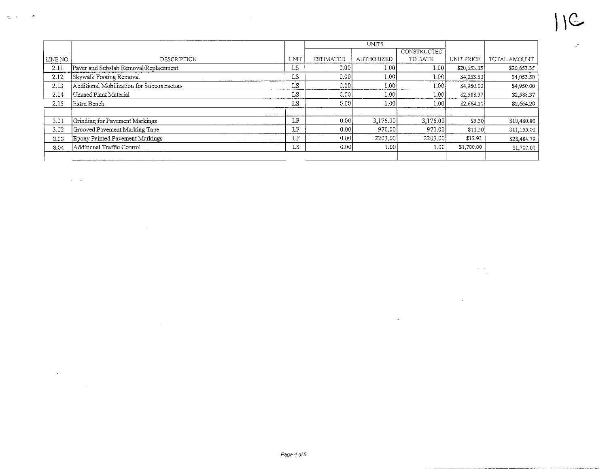$\label{eq:2} \frac{1}{\sqrt{2}}\left(\frac{1}{\sqrt{2}}\right)^{2} \frac{1}{\sqrt{2}}\left(\frac{1}{\sqrt{2}}\right)^{2}$ 

 $\mathcal{L}^{\text{max}}_{\text{max}}$  and  $\mathcal{L}^{\text{max}}_{\text{max}}$ 

 $\mathcal{L}^{\text{max}}_{\text{max}}$  and  $\mathcal{L}^{\text{max}}_{\text{max}}$ 

 $\mathcal{L}$ 

|          |                                            |      | UNITS            |            |             |             |              |
|----------|--------------------------------------------|------|------------------|------------|-------------|-------------|--------------|
|          |                                            |      |                  |            | CONSTRUCTED |             |              |
| LINE NO. | <b>DESCRIPTION</b>                         | UNIT | <b>ESTIMATED</b> | AUTHORIZED | TO DATE     | UNIT PRICE  | TOTAL AMOUNT |
| 2.11     | Paver and Subslab Removal/Replacement      | LS   | 0.001            | 1.00       | 1.00        | \$20,653,35 | \$20,653.35  |
| 2.12     | Skywalk Footing Removal                    | LS   | 0.00             | 1.00       | 1.00        | \$4,053.50  | \$4,053.50   |
| 2.13     | Additional Mobilization for Subcontractors | LS   | 0.00             | 1.00       | 1.001       | \$4,950,00  | \$4,950.00   |
| 2.14     | Unused Plant Material                      | LS   | 0.001            | 1.00       | $1.00\,$    | \$2,588.37  | \$2,588,37   |
| 2.15     | Extra Bench                                | LS   | 0.001            | 1.00       | 1.00        | \$2,664,20  | \$2,664.20   |
|          |                                            |      |                  |            |             |             |              |
| 3.01     | Grinding for Pavement Markings             | LF   | 0.00             | 3,176.00   | 3,176.00    | \$3.30      | \$10,480.80  |
| 3.02     | Grooved Pavement Marking Tape              | LF.  | 0.001            | 970.00     | 970.00      | \$11.50     | \$11,155.00  |
| 3.03     | <b>Epoxy Painted Pavement Markings</b>     | LF   | 0.001            | 2203.00    | 2203.00     | \$12.93     | \$28,484.79  |
| 3.04     | Additional Traffic Control                 | LS   | 0.001            | 1.00       | 1.00        | \$1,700.00  | \$1,700,00   |
|          |                                            |      |                  |            |             |             |              |

 $\label{eq:2.1} \mathcal{L}(\mathcal{L}^{\text{max}}_{\mathcal{L}}(\mathcal{L}^{\text{max}}_{\mathcal{L}}),\mathcal{L}^{\text{max}}_{\mathcal{L}}(\mathcal{L}^{\text{max}}_{\mathcal{L}}))$ 

 $\sigma_{\rm{min}} = \sigma_{\rm{max}} = 1.5$ 

 $\alpha_{\rm{eff}}$  and  $\alpha_{\rm{eff}}$ 

 $\label{eq:2.1} \frac{1}{\sqrt{2\pi}}\left(\frac{1}{\sqrt{2\pi}}\right)^{2} \left(\frac{1}{\sqrt{2\pi}}\right)^{2} \left(\frac{1}{\sqrt{2\pi}}\right)^{2} \left(\frac{1}{\sqrt{2\pi}}\right)^{2} \left(\frac{1}{\sqrt{2\pi}}\right)^{2} \left(\frac{1}{\sqrt{2\pi}}\right)^{2} \left(\frac{1}{\sqrt{2\pi}}\right)^{2} \left(\frac{1}{\sqrt{2\pi}}\right)^{2} \left(\frac{1}{\sqrt{2\pi}}\right)^{2} \left(\frac{1}{\sqrt{2\pi}}\right)^{2$ 

 $\label{eq:2.1} \mathcal{L}(\mathcal{L}^{\mathcal{L}}_{\mathcal{L}}(\mathcal{L}^{\mathcal{L}}_{\mathcal{L}})) = \mathcal{L}(\mathcal{L}^{\mathcal{L}}_{\mathcal{L}}(\mathcal{L}^{\mathcal{L}}_{\mathcal{L}})) = \mathcal{L}(\mathcal{L}^{\mathcal{L}}_{\mathcal{L}}(\mathcal{L}^{\mathcal{L}}_{\mathcal{L}}))$ 

 $\mathcal{L}^{\text{max}}_{\text{max}}$  and  $\mathcal{L}^{\text{max}}_{\text{max}}$